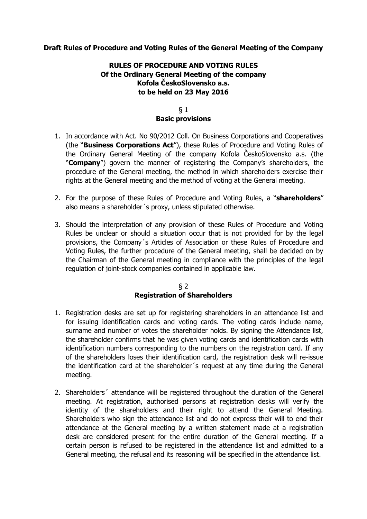## **Draft Rules of Procedure and Voting Rules of the General Meeting of the Company**

# **RULES OF PROCEDURE AND VOTING RULES Of the Ordinary General Meeting of the company Kofola ČeskoSlovensko a.s. to be held on 23 May 2016**

#### § 1 **Basic provisions**

- 1. In accordance with Act. No 90/2012 Coll. On Business Corporations and Cooperatives (the "**Business Corporations Act**"), these Rules of Procedure and Voting Rules of the Ordinary General Meeting of the company Kofola ČeskoSlovensko a.s. (the "**Company**") govern the manner of registering the Company's shareholders, the procedure of the General meeting, the method in which shareholders exercise their rights at the General meeting and the method of voting at the General meeting.
- 2. For the purpose of these Rules of Procedure and Voting Rules, a "**shareholders**" also means a shareholder´s proxy, unless stipulated otherwise.
- 3. Should the interpretation of any provision of these Rules of Procedure and Voting Rules be unclear or should a situation occur that is not provided for by the legal provisions, the Company´s Articles of Association or these Rules of Procedure and Voting Rules, the further procedure of the General meeting, shall be decided on by the Chairman of the General meeting in compliance with the principles of the legal regulation of joint-stock companies contained in applicable law.

## § 2 **Registration of Shareholders**

- 1. Registration desks are set up for registering shareholders in an attendance list and for issuing identification cards and voting cards. The voting cards include name, surname and number of votes the shareholder holds. By signing the Attendance list, the shareholder confirms that he was given voting cards and identification cards with identification numbers corresponding to the numbers on the registration card. If any of the shareholders loses their identification card, the registration desk will re-issue the identification card at the shareholder´s request at any time during the General meeting.
- 2. Shareholders´ attendance will be registered throughout the duration of the General meeting. At registration, authorised persons at registration desks will verify the identity of the shareholders and their right to attend the General Meeting. Shareholders who sign the attendance list and do not express their will to end their attendance at the General meeting by a written statement made at a registration desk are considered present for the entire duration of the General meeting. If a certain person is refused to be registered in the attendance list and admitted to a General meeting, the refusal and its reasoning will be specified in the attendance list.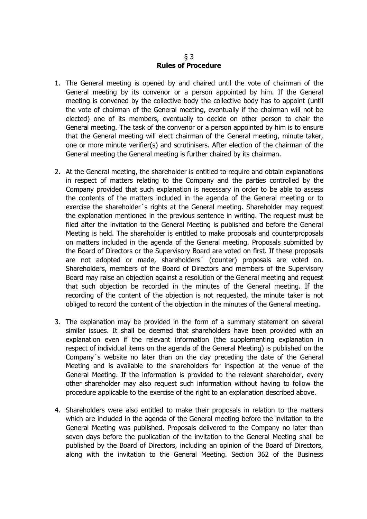## § 3 **Rules of Procedure**

- 1. The General meeting is opened by and chaired until the vote of chairman of the General meeting by its convenor or a person appointed by him. If the General meeting is convened by the collective body the collective body has to appoint (until the vote of chairman of the General meeting, eventually if the chairman will not be elected) one of its members, eventually to decide on other person to chair the General meeting. The task of the convenor or a person appointed by him is to ensure that the General meeting will elect chairman of the General meeting, minute taker, one or more minute verifier(s) and scrutinisers. After election of the chairman of the General meeting the General meeting is further chaired by its chairman.
- 2. At the General meeting, the shareholder is entitled to require and obtain explanations in respect of matters relating to the Company and the parties controlled by the Company provided that such explanation is necessary in order to be able to assess the contents of the matters included in the agenda of the General meeting or to exercise the shareholder´s rights at the General meeting. Shareholder may request the explanation mentioned in the previous sentence in writing. The request must be filed after the invitation to the General Meeting is published and before the General Meeting is held. The shareholder is entitled to make proposals and counterproposals on matters included in the agenda of the General meeting. Proposals submitted by the Board of Directors or the Supervisory Board are voted on first. If these proposals are not adopted or made, shareholders´ (counter) proposals are voted on. Shareholders, members of the Board of Directors and members of the Supervisory Board may raise an objection against a resolution of the General meeting and request that such objection be recorded in the minutes of the General meeting. If the recording of the content of the objection is not requested, the minute taker is not obliged to record the content of the objection in the minutes of the General meeting.
- 3. The explanation may be provided in the form of a summary statement on several similar issues. It shall be deemed that shareholders have been provided with an explanation even if the relevant information (the supplementing explanation in respect of individual items on the agenda of the General Meeting) is published on the Company´s website no later than on the day preceding the date of the General Meeting and is available to the shareholders for inspection at the venue of the General Meeting. If the information is provided to the relevant shareholder, every other shareholder may also request such information without having to follow the procedure applicable to the exercise of the right to an explanation described above.
- 4. Shareholders were also entitled to make their proposals in relation to the matters which are included in the agenda of the General meeting before the invitation to the General Meeting was published. Proposals delivered to the Company no later than seven days before the publication of the invitation to the General Meeting shall be published by the Board of Directors, including an opinion of the Board of Directors, along with the invitation to the General Meeting. Section 362 of the Business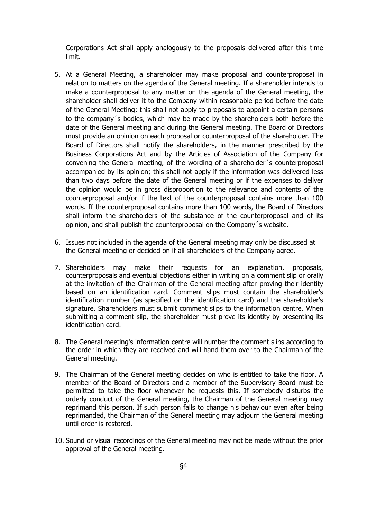Corporations Act shall apply analogously to the proposals delivered after this time limit.

- 5. At a General Meeting, a shareholder may make proposal and counterproposal in relation to matters on the agenda of the General meeting. If a shareholder intends to make a counterproposal to any matter on the agenda of the General meeting, the shareholder shall deliver it to the Company within reasonable period before the date of the General Meeting; this shall not apply to proposals to appoint a certain persons to the company´s bodies, which may be made by the shareholders both before the date of the General meeting and during the General meeting. The Board of Directors must provide an opinion on each proposal or counterproposal of the shareholder. The Board of Directors shall notify the shareholders, in the manner prescribed by the Business Corporations Act and by the Articles of Association of the Company for convening the General meeting, of the wording of a shareholder´s counterproposal accompanied by its opinion; this shall not apply if the information was delivered less than two days before the date of the General meeting or if the expenses to deliver the opinion would be in gross disproportion to the relevance and contents of the counterproposal and/or if the text of the counterproposal contains more than 100 words. If the counterproposal contains more than 100 words, the Board of Directors shall inform the shareholders of the substance of the counterproposal and of its opinion, and shall publish the counterproposal on the Company´s website.
- 6. Issues not included in the agenda of the General meeting may only be discussed at the General meeting or decided on if all shareholders of the Company agree.
- 7. Shareholders may make their requests for an explanation, proposals, counterproposals and eventual objections either in writing on a comment slip or orally at the invitation of the Chairman of the General meeting after proving their identity based on an identification card. Comment slips must contain the shareholder's identification number (as specified on the identification card) and the shareholder's signature. Shareholders must submit comment slips to the information centre. When submitting a comment slip, the shareholder must prove its identity by presenting its identification card.
- 8. The General meeting's information centre will number the comment slips according to the order in which they are received and will hand them over to the Chairman of the General meeting.
- 9. The Chairman of the General meeting decides on who is entitled to take the floor. A member of the Board of Directors and a member of the Supervisory Board must be permitted to take the floor whenever he requests this. If somebody disturbs the orderly conduct of the General meeting, the Chairman of the General meeting may reprimand this person. If such person fails to change his behaviour even after being reprimanded, the Chairman of the General meeting may adjourn the General meeting until order is restored.
- 10. Sound or visual recordings of the General meeting may not be made without the prior approval of the General meeting.